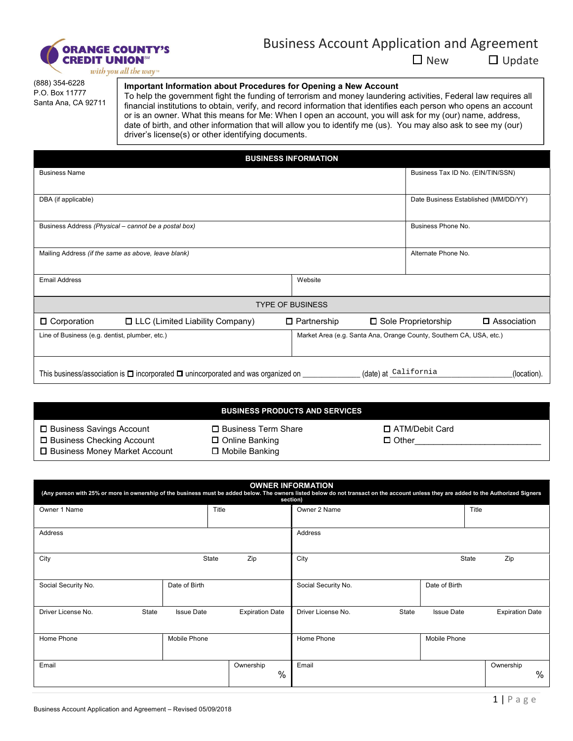

## Business Account Application and Agreement

☐ New ☐ Update

with you all the way<sup>w</sup>

(888) 354-6228 P.O. Box 11777 Santa Ana, CA 92711

## Important Information about Procedures for Opening a New Account

To help the government fight the funding of terrorism and money laundering activities, Federal law requires all financial institutions to obtain, verify, and record information that identifies each person who opens an account or is an owner. What this means for Me: When I open an account, you will ask for my (our) name, address, date of birth, and other information that will allow you to identify me (us). You may also ask to see my (our) driver's license(s) or other identifying documents.

|                                                                                                                                           | <b>BUSINESS INFORMATION</b> |                                                                     |               |
|-------------------------------------------------------------------------------------------------------------------------------------------|-----------------------------|---------------------------------------------------------------------|---------------|
| <b>Business Name</b>                                                                                                                      |                             | Business Tax ID No. (EIN/TIN/SSN)                                   |               |
|                                                                                                                                           |                             |                                                                     |               |
| DBA (if applicable)                                                                                                                       |                             | Date Business Established (MM/DD/YY)                                |               |
| Business Address (Physical – cannot be a postal box)                                                                                      |                             | Business Phone No.                                                  |               |
| Mailing Address (if the same as above, leave blank)                                                                                       |                             | Alternate Phone No.                                                 |               |
| <b>Email Address</b>                                                                                                                      | Website                     |                                                                     |               |
|                                                                                                                                           | <b>TYPE OF BUSINESS</b>     |                                                                     |               |
| $\Box$ Corporation<br>$\Box$ LLC (Limited Liability Company)                                                                              | $\Box$ Partnership          | □ Sole Proprietorship                                               | □ Association |
| Line of Business (e.g. dentist, plumber, etc.)                                                                                            |                             | Market Area (e.g. Santa Ana, Orange County, Southern CA, USA, etc.) |               |
| (date) at California<br>This business/association is $\Box$ incorporated $\Box$ unincorporated and was organized on $\Box$<br>(location). |                             |                                                                     |               |

|                                                                                              | <b>BUSINESS PRODUCTS AND SERVICES</b>                         |                                  |
|----------------------------------------------------------------------------------------------|---------------------------------------------------------------|----------------------------------|
| □ Business Savings Account<br>□ Business Checking Account<br>□ Business Money Market Account | □ Business Term Share<br>□ Online Banking<br>□ Mobile Banking | □ ATM/Debit Card<br>$\Box$ Other |

| <b>OWNER INFORMATION</b><br>(Any person with 25% or more in ownership of the business must be added below. The owners listed below do not transact on the account unless they are added to the Authorized Signers<br>section) |                   |                        |                     |       |                   |                        |
|-------------------------------------------------------------------------------------------------------------------------------------------------------------------------------------------------------------------------------|-------------------|------------------------|---------------------|-------|-------------------|------------------------|
| Owner 1 Name                                                                                                                                                                                                                  |                   | Title                  | Owner 2 Name        |       |                   | Title                  |
| Address                                                                                                                                                                                                                       |                   |                        | Address             |       |                   |                        |
| City                                                                                                                                                                                                                          | State             | Zip                    | City                |       | <b>State</b>      | Zip                    |
| Social Security No.                                                                                                                                                                                                           | Date of Birth     |                        | Social Security No. |       | Date of Birth     |                        |
| Driver License No.<br><b>State</b>                                                                                                                                                                                            | <b>Issue Date</b> | <b>Expiration Date</b> | Driver License No.  | State | <b>Issue Date</b> | <b>Expiration Date</b> |
| Home Phone                                                                                                                                                                                                                    | Mobile Phone      |                        | Home Phone          |       | Mobile Phone      |                        |
| Email                                                                                                                                                                                                                         |                   | Ownership<br>%         | Email               |       |                   | Ownership<br>$\%$      |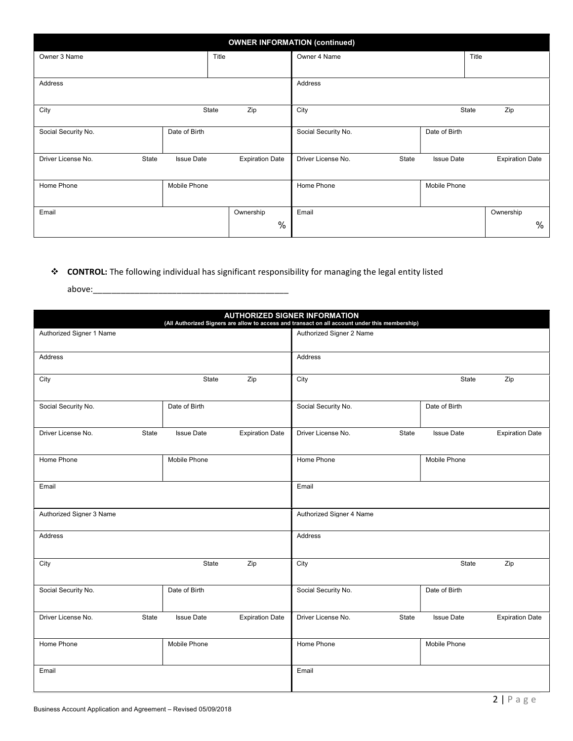| <b>OWNER INFORMATION (continued)</b> |                   |                        |                             |                   |                        |  |
|--------------------------------------|-------------------|------------------------|-----------------------------|-------------------|------------------------|--|
| Owner 3 Name                         | Title             |                        | Owner 4 Name                | Title             |                        |  |
|                                      |                   |                        |                             |                   |                        |  |
| Address                              |                   |                        | Address                     |                   |                        |  |
| City                                 | State             | Zip                    | City                        | State             | Zip                    |  |
| Social Security No.                  | Date of Birth     |                        | Social Security No.         | Date of Birth     |                        |  |
| Driver License No.<br>State          | <b>Issue Date</b> | <b>Expiration Date</b> | Driver License No.<br>State | <b>Issue Date</b> | <b>Expiration Date</b> |  |
| Home Phone                           | Mobile Phone      |                        | Home Phone                  | Mobile Phone      |                        |  |
| Email                                |                   | Ownership              | Email                       |                   | Ownership              |  |
|                                      |                   | %                      |                             |                   | %                      |  |

## \* CONTROL: The following individual has significant responsibility for managing the legal entity listed

above:\_\_\_\_\_\_\_\_\_\_\_\_\_\_\_\_\_\_\_\_\_\_\_\_\_\_\_\_\_\_\_\_\_\_\_\_\_\_\_\_\_\_

| <b>AUTHORIZED SIGNER INFORMATION</b><br>(All Authorized Signers are allow to access and transact on all account under this membership) |                   |                        |                             |                   |                        |
|----------------------------------------------------------------------------------------------------------------------------------------|-------------------|------------------------|-----------------------------|-------------------|------------------------|
| Authorized Signer 1 Name                                                                                                               |                   |                        | Authorized Signer 2 Name    |                   |                        |
| Address                                                                                                                                |                   |                        | Address                     |                   |                        |
| City                                                                                                                                   | State             | Zip                    | City                        | State             | Zip                    |
| Social Security No.                                                                                                                    | Date of Birth     |                        | Social Security No.         | Date of Birth     |                        |
| Driver License No.<br>State                                                                                                            | <b>Issue Date</b> | <b>Expiration Date</b> | Driver License No.<br>State | <b>Issue Date</b> | <b>Expiration Date</b> |
| Home Phone                                                                                                                             | Mobile Phone      |                        | Home Phone                  | Mobile Phone      |                        |
| Email                                                                                                                                  |                   |                        | Email                       |                   |                        |
| Authorized Signer 3 Name                                                                                                               |                   |                        | Authorized Signer 4 Name    |                   |                        |
| Address                                                                                                                                |                   |                        | Address                     |                   |                        |
| City                                                                                                                                   | State             | Zip                    | City                        | State             | Zip                    |
| Social Security No.                                                                                                                    | Date of Birth     |                        | Social Security No.         | Date of Birth     |                        |
| State<br>Driver License No.                                                                                                            | <b>Issue Date</b> | <b>Expiration Date</b> | Driver License No.<br>State | <b>Issue Date</b> | <b>Expiration Date</b> |
| Home Phone                                                                                                                             | Mobile Phone      |                        | Home Phone                  | Mobile Phone      |                        |
| Email                                                                                                                                  |                   |                        | Email                       |                   |                        |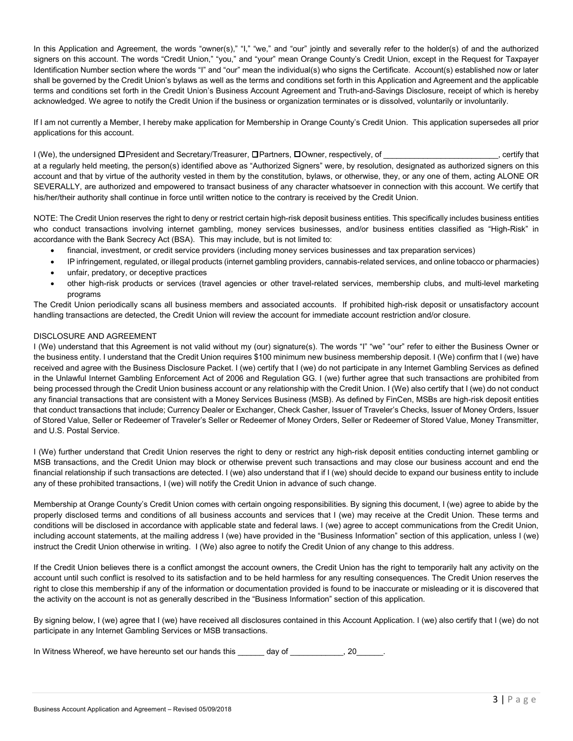In this Application and Agreement, the words "owner(s)," "I," "we," and "our" jointly and severally refer to the holder(s) of and the authorized signers on this account. The words "Credit Union," "you," and "your" mean Orange County's Credit Union, except in the Request for Taxpayer Identification Number section where the words "I" and "our" mean the individual(s) who signs the Certificate. Account(s) established now or later shall be governed by the Credit Union's bylaws as well as the terms and conditions set forth in this Application and Agreement and the applicable terms and conditions set forth in the Credit Union's Business Account Agreement and Truth-and-Savings Disclosure, receipt of which is hereby acknowledged. We agree to notify the Credit Union if the business or organization terminates or is dissolved, voluntarily or involuntarily.

If I am not currently a Member, I hereby make application for Membership in Orange County's Credit Union. This application supersedes all prior applications for this account.

I (We), the undersigned □President and Secretary/Treasurer, □Partners, □Owner, respectively, of \_\_\_\_\_\_\_\_\_\_\_\_\_\_\_\_\_\_\_\_\_, certify that at a regularly held meeting, the person(s) identified above as "Authorized Signers" were, by resolution, designated as authorized signers on this account and that by virtue of the authority vested in them by the constitution, bylaws, or otherwise, they, or any one of them, acting ALONE OR SEVERALLY, are authorized and empowered to transact business of any character whatsoever in connection with this account. We certify that his/her/their authority shall continue in force until written notice to the contrary is received by the Credit Union.

NOTE: The Credit Union reserves the right to deny or restrict certain high-risk deposit business entities. This specifically includes business entities who conduct transactions involving internet gambling, money services businesses, and/or business entities classified as "High-Risk" in accordance with the Bank Secrecy Act (BSA). This may include, but is not limited to:

- financial, investment, or credit service providers (including money services businesses and tax preparation services)
- IP infringement, regulated, or illegal products (internet gambling providers, cannabis-related services, and online tobacco or pharmacies)
- unfair, predatory, or deceptive practices
- other high-risk products or services (travel agencies or other travel-related services, membership clubs, and multi-level marketing programs

The Credit Union periodically scans all business members and associated accounts. If prohibited high-risk deposit or unsatisfactory account handling transactions are detected, the Credit Union will review the account for immediate account restriction and/or closure.

## DISCLOSURE AND AGREEMENT

I (We) understand that this Agreement is not valid without my (our) signature(s). The words "I" "we" "our" refer to either the Business Owner or the business entity. I understand that the Credit Union requires \$100 minimum new business membership deposit. I (We) confirm that I (we) have received and agree with the Business Disclosure Packet. I (we) certify that I (we) do not participate in any Internet Gambling Services as defined in the Unlawful Internet Gambling Enforcement Act of 2006 and Regulation GG. I (we) further agree that such transactions are prohibited from being processed through the Credit Union business account or any relationship with the Credit Union. I (We) also certify that I (we) do not conduct any financial transactions that are consistent with a Money Services Business (MSB). As defined by FinCen, MSBs are high-risk deposit entities that conduct transactions that include; Currency Dealer or Exchanger, Check Casher, Issuer of Traveler's Checks, Issuer of Money Orders, Issuer of Stored Value, Seller or Redeemer of Traveler's Seller or Redeemer of Money Orders, Seller or Redeemer of Stored Value, Money Transmitter, and U.S. Postal Service.

I (We) further understand that Credit Union reserves the right to deny or restrict any high-risk deposit entities conducting internet gambling or MSB transactions, and the Credit Union may block or otherwise prevent such transactions and may close our business account and end the financial relationship if such transactions are detected. I (we) also understand that if I (we) should decide to expand our business entity to include any of these prohibited transactions, I (we) will notify the Credit Union in advance of such change.

Membership at Orange County's Credit Union comes with certain ongoing responsibilities. By signing this document, I (we) agree to abide by the properly disclosed terms and conditions of all business accounts and services that I (we) may receive at the Credit Union. These terms and conditions will be disclosed in accordance with applicable state and federal laws. I (we) agree to accept communications from the Credit Union, including account statements, at the mailing address I (we) have provided in the "Business Information" section of this application, unless I (we) instruct the Credit Union otherwise in writing. I (We) also agree to notify the Credit Union of any change to this address.

If the Credit Union believes there is a conflict amongst the account owners, the Credit Union has the right to temporarily halt any activity on the account until such conflict is resolved to its satisfaction and to be held harmless for any resulting consequences. The Credit Union reserves the right to close this membership if any of the information or documentation provided is found to be inaccurate or misleading or it is discovered that the activity on the account is not as generally described in the "Business Information" section of this application.

By signing below, I (we) agree that I (we) have received all disclosures contained in this Account Application. I (we) also certify that I (we) do not participate in any Internet Gambling Services or MSB transactions.

| In Witness Whereof, we have hereunto set our hands this |  |  |
|---------------------------------------------------------|--|--|
|---------------------------------------------------------|--|--|